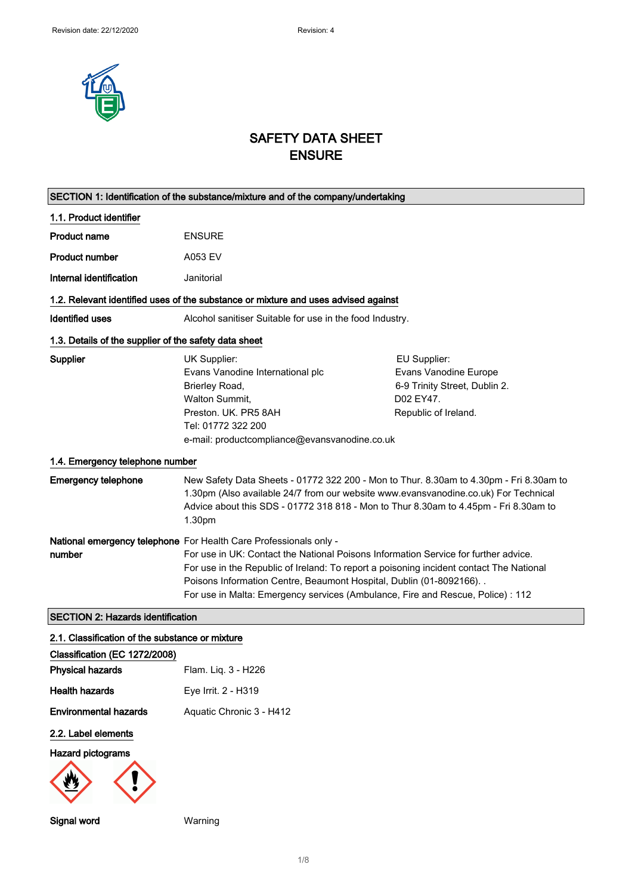

# SAFETY DATA SHEET ENSURE

| SECTION 1: Identification of the substance/mixture and of the company/undertaking |                                                                                                                                                                                                                                                                                                                                                                                                                 |                                                                                                             |
|-----------------------------------------------------------------------------------|-----------------------------------------------------------------------------------------------------------------------------------------------------------------------------------------------------------------------------------------------------------------------------------------------------------------------------------------------------------------------------------------------------------------|-------------------------------------------------------------------------------------------------------------|
| 1.1. Product identifier                                                           |                                                                                                                                                                                                                                                                                                                                                                                                                 |                                                                                                             |
| Product name                                                                      | <b>ENSURE</b>                                                                                                                                                                                                                                                                                                                                                                                                   |                                                                                                             |
| <b>Product number</b>                                                             | A053 EV                                                                                                                                                                                                                                                                                                                                                                                                         |                                                                                                             |
| Internal identification                                                           | Janitorial                                                                                                                                                                                                                                                                                                                                                                                                      |                                                                                                             |
|                                                                                   | 1.2. Relevant identified uses of the substance or mixture and uses advised against                                                                                                                                                                                                                                                                                                                              |                                                                                                             |
| <b>Identified uses</b>                                                            | Alcohol sanitiser Suitable for use in the food Industry.                                                                                                                                                                                                                                                                                                                                                        |                                                                                                             |
| 1.3. Details of the supplier of the safety data sheet                             |                                                                                                                                                                                                                                                                                                                                                                                                                 |                                                                                                             |
| <b>Supplier</b>                                                                   | UK Supplier:<br>Evans Vanodine International plc<br>Brierley Road,<br>Walton Summit,<br>Preston, UK, PR5 8AH<br>Tel: 01772 322 200<br>e-mail: productcompliance@evansvanodine.co.uk                                                                                                                                                                                                                             | EU Supplier:<br>Evans Vanodine Europe<br>6-9 Trinity Street, Dublin 2.<br>D02 EY47.<br>Republic of Ireland. |
| 1.4. Emergency telephone number                                                   |                                                                                                                                                                                                                                                                                                                                                                                                                 |                                                                                                             |
| <b>Emergency telephone</b>                                                        | New Safety Data Sheets - 01772 322 200 - Mon to Thur. 8.30am to 4.30pm - Fri 8.30am to<br>1.30pm (Also available 24/7 from our website www.evansvanodine.co.uk) For Technical<br>Advice about this SDS - 01772 318 818 - Mon to Thur 8.30am to 4.45pm - Fri 8.30am to<br>1.30pm                                                                                                                                 |                                                                                                             |
| number                                                                            | National emergency telephone For Health Care Professionals only -<br>For use in UK: Contact the National Poisons Information Service for further advice.<br>For use in the Republic of Ireland: To report a poisoning incident contact The National<br>Poisons Information Centre, Beaumont Hospital, Dublin (01-8092166). .<br>For use in Malta: Emergency services (Ambulance, Fire and Rescue, Police) : 112 |                                                                                                             |
| <b>SECTION 2: Hazards identification</b>                                          |                                                                                                                                                                                                                                                                                                                                                                                                                 |                                                                                                             |
| 2.1. Classification of the substance or mixture                                   |                                                                                                                                                                                                                                                                                                                                                                                                                 |                                                                                                             |
| Classification (EC 1272/2008)<br><b>Physical hazards</b>                          | Flam. Liq. 3 - H226                                                                                                                                                                                                                                                                                                                                                                                             |                                                                                                             |
| <b>Health hazards</b>                                                             | Eye Irrit. 2 - H319                                                                                                                                                                                                                                                                                                                                                                                             |                                                                                                             |
| <b>Environmental hazards</b>                                                      | Aquatic Chronic 3 - H412                                                                                                                                                                                                                                                                                                                                                                                        |                                                                                                             |
| 2.2. Label elements                                                               |                                                                                                                                                                                                                                                                                                                                                                                                                 |                                                                                                             |
| <b>Hazard pictograms</b>                                                          |                                                                                                                                                                                                                                                                                                                                                                                                                 |                                                                                                             |
| Signal word                                                                       | Warning                                                                                                                                                                                                                                                                                                                                                                                                         |                                                                                                             |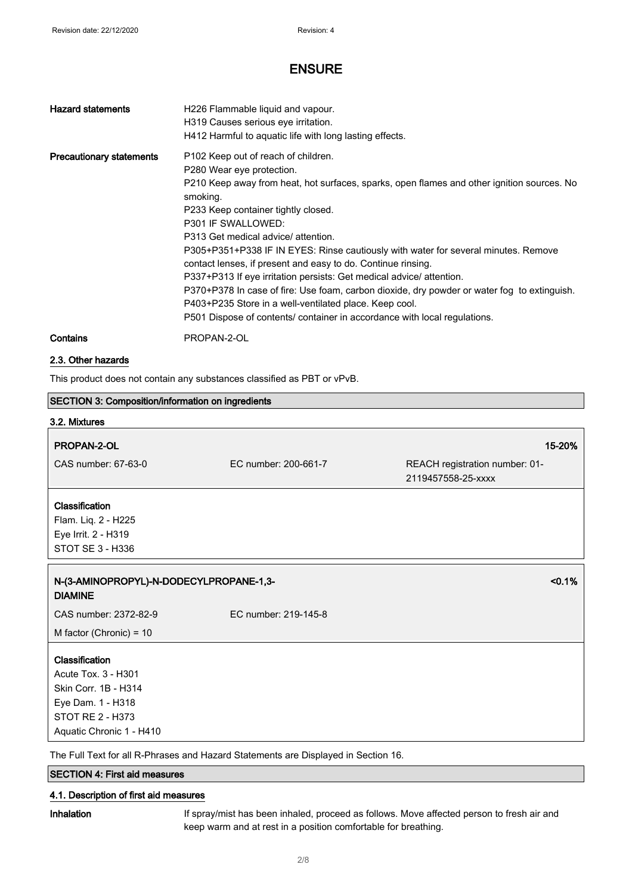| <b>Hazard statements</b>        | H226 Flammable liquid and vapour.<br>H319 Causes serious eye irritation.<br>H412 Harmful to aquatic life with long lasting effects.                                                                                                                                                                                                                                                                                                                                                                                                                                                                                                                                                                                                                          |
|---------------------------------|--------------------------------------------------------------------------------------------------------------------------------------------------------------------------------------------------------------------------------------------------------------------------------------------------------------------------------------------------------------------------------------------------------------------------------------------------------------------------------------------------------------------------------------------------------------------------------------------------------------------------------------------------------------------------------------------------------------------------------------------------------------|
| <b>Precautionary statements</b> | P <sub>102</sub> Keep out of reach of children.<br>P280 Wear eye protection.<br>P210 Keep away from heat, hot surfaces, sparks, open flames and other ignition sources. No<br>smoking.<br>P233 Keep container tightly closed.<br>P301 IF SWALLOWED:<br>P313 Get medical advice/attention.<br>P305+P351+P338 IF IN EYES: Rinse cautiously with water for several minutes. Remove<br>contact lenses, if present and easy to do. Continue rinsing.<br>P337+P313 If eye irritation persists: Get medical advice/attention.<br>P370+P378 In case of fire: Use foam, carbon dioxide, dry powder or water fog to extinguish.<br>P403+P235 Store in a well-ventilated place. Keep cool.<br>P501 Dispose of contents/ container in accordance with local regulations. |
| Contains                        | PROPAN-2-OL                                                                                                                                                                                                                                                                                                                                                                                                                                                                                                                                                                                                                                                                                                                                                  |

### 2.3. Other hazards

This product does not contain any substances classified as PBT or vPvB.

| SECTION 3: Composition/information on ingredients         |                      |                                                      |
|-----------------------------------------------------------|----------------------|------------------------------------------------------|
| 3.2. Mixtures                                             |                      |                                                      |
| PROPAN-2-OL                                               |                      | 15-20%                                               |
| CAS number: 67-63-0                                       | EC number: 200-661-7 | REACH registration number: 01-<br>2119457558-25-xxxx |
| Classification                                            |                      |                                                      |
| Flam. Liq. 2 - H225                                       |                      |                                                      |
| Eye Irrit. 2 - H319                                       |                      |                                                      |
| STOT SE 3 - H336                                          |                      |                                                      |
| N-(3-AMINOPROPYL)-N-DODECYLPROPANE-1,3-<br><b>DIAMINE</b> |                      | < 0.1%                                               |
| CAS number: 2372-82-9                                     | EC number: 219-145-8 |                                                      |
| M factor (Chronic) = $10$                                 |                      |                                                      |
| Classification                                            |                      |                                                      |
| Acute Tox. 3 - H301                                       |                      |                                                      |
| Skin Corr. 1B - H314                                      |                      |                                                      |
| Eye Dam. 1 - H318                                         |                      |                                                      |
| <b>STOT RE 2 - H373</b>                                   |                      |                                                      |
| Aquatic Chronic 1 - H410                                  |                      |                                                      |

The Full Text for all R-Phrases and Hazard Statements are Displayed in Section 16.

### SECTION 4: First aid measures

### 4.1. Description of first aid measures

Inhalation If spray/mist has been inhaled, proceed as follows. Move affected person to fresh air and keep warm and at rest in a position comfortable for breathing.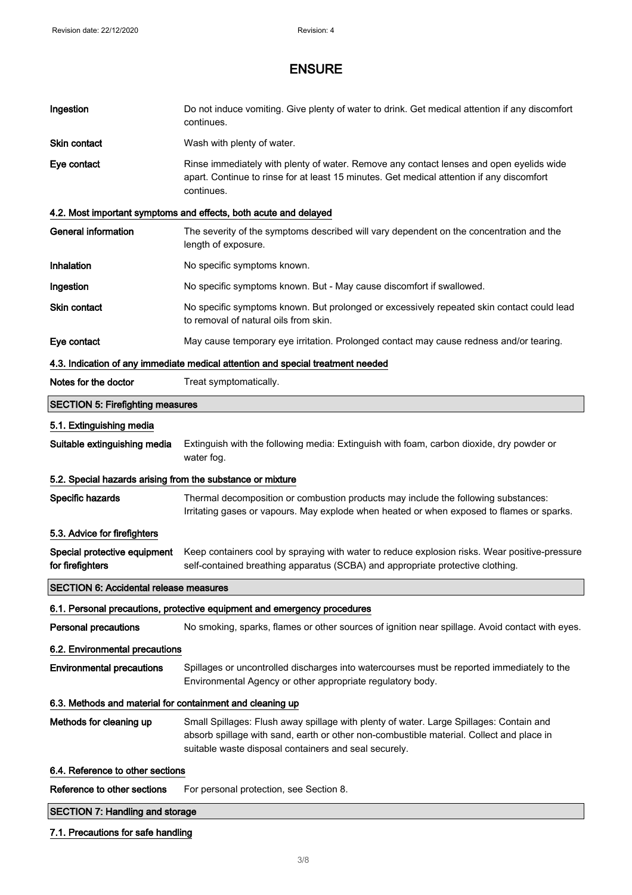| Ingestion                                                  | Do not induce vomiting. Give plenty of water to drink. Get medical attention if any discomfort<br>continues.                                                                                                                                 |
|------------------------------------------------------------|----------------------------------------------------------------------------------------------------------------------------------------------------------------------------------------------------------------------------------------------|
| Skin contact                                               | Wash with plenty of water.                                                                                                                                                                                                                   |
| Eye contact                                                | Rinse immediately with plenty of water. Remove any contact lenses and open eyelids wide<br>apart. Continue to rinse for at least 15 minutes. Get medical attention if any discomfort<br>continues.                                           |
|                                                            | 4.2. Most important symptoms and effects, both acute and delayed                                                                                                                                                                             |
| <b>General information</b>                                 | The severity of the symptoms described will vary dependent on the concentration and the<br>length of exposure.                                                                                                                               |
| Inhalation                                                 | No specific symptoms known.                                                                                                                                                                                                                  |
| Ingestion                                                  | No specific symptoms known. But - May cause discomfort if swallowed.                                                                                                                                                                         |
| <b>Skin contact</b>                                        | No specific symptoms known. But prolonged or excessively repeated skin contact could lead<br>to removal of natural oils from skin.                                                                                                           |
| Eye contact                                                | May cause temporary eye irritation. Prolonged contact may cause redness and/or tearing.                                                                                                                                                      |
|                                                            | 4.3. Indication of any immediate medical attention and special treatment needed                                                                                                                                                              |
| Notes for the doctor                                       | Treat symptomatically.                                                                                                                                                                                                                       |
| <b>SECTION 5: Firefighting measures</b>                    |                                                                                                                                                                                                                                              |
| 5.1. Extinguishing media                                   |                                                                                                                                                                                                                                              |
| Suitable extinguishing media                               | Extinguish with the following media: Extinguish with foam, carbon dioxide, dry powder or<br>water fog.                                                                                                                                       |
| 5.2. Special hazards arising from the substance or mixture |                                                                                                                                                                                                                                              |
| Specific hazards                                           | Thermal decomposition or combustion products may include the following substances:<br>Irritating gases or vapours. May explode when heated or when exposed to flames or sparks.                                                              |
| 5.3. Advice for firefighters                               |                                                                                                                                                                                                                                              |
| Special protective equipment<br>for firefighters           | Keep containers cool by spraying with water to reduce explosion risks. Wear positive-pressure<br>self-contained breathing apparatus (SCBA) and appropriate protective clothing.                                                              |
| <b>SECTION 6: Accidental release measures</b>              |                                                                                                                                                                                                                                              |
|                                                            | 6.1. Personal precautions, protective equipment and emergency procedures                                                                                                                                                                     |
| <b>Personal precautions</b>                                | No smoking, sparks, flames or other sources of ignition near spillage. Avoid contact with eyes.                                                                                                                                              |
| 6.2. Environmental precautions                             |                                                                                                                                                                                                                                              |
| <b>Environmental precautions</b>                           | Spillages or uncontrolled discharges into watercourses must be reported immediately to the<br>Environmental Agency or other appropriate regulatory body.                                                                                     |
| 6.3. Methods and material for containment and cleaning up  |                                                                                                                                                                                                                                              |
| Methods for cleaning up                                    | Small Spillages: Flush away spillage with plenty of water. Large Spillages: Contain and<br>absorb spillage with sand, earth or other non-combustible material. Collect and place in<br>suitable waste disposal containers and seal securely. |
| 6.4. Reference to other sections                           |                                                                                                                                                                                                                                              |
| Reference to other sections                                | For personal protection, see Section 8.                                                                                                                                                                                                      |
| <b>SECTION 7: Handling and storage</b>                     |                                                                                                                                                                                                                                              |
| 7.1. Precautions for safe handling                         |                                                                                                                                                                                                                                              |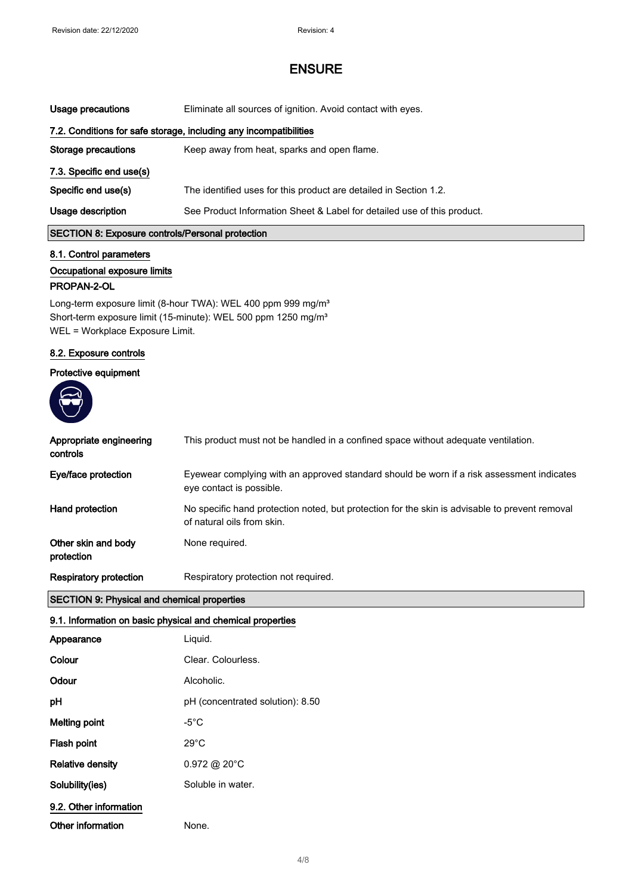| Usage precautions                                                 | Eliminate all sources of ignition. Avoid contact with eyes.             |
|-------------------------------------------------------------------|-------------------------------------------------------------------------|
| 7.2. Conditions for safe storage, including any incompatibilities |                                                                         |
| Storage precautions                                               | Keep away from heat, sparks and open flame.                             |
| 7.3. Specific end use(s)                                          |                                                                         |
| Specific end use(s)                                               | The identified uses for this product are detailed in Section 1.2.       |
| Usage description                                                 | See Product Information Sheet & Label for detailed use of this product. |
| <b>SECTION 8: Exposure controls/Personal protection</b>           |                                                                         |

## 8.1. Control parameters

### Occupational exposure limits

#### PROPAN-2-OL

Long-term exposure limit (8-hour TWA): WEL 400 ppm 999 mg/m<sup>3</sup> Short-term exposure limit (15-minute): WEL 500 ppm 1250 mg/m<sup>3</sup> WEL = Workplace Exposure Limit.

### 8.2. Exposure controls

#### Protective equipment



| <b>Respiratory protection</b>       | Respiratory protection not required.                                                                                         |
|-------------------------------------|------------------------------------------------------------------------------------------------------------------------------|
| Other skin and body<br>protection   | None required.                                                                                                               |
| Hand protection                     | No specific hand protection noted, but protection for the skin is advisable to prevent removal<br>of natural oils from skin. |
| Eye/face protection                 | Eyewear complying with an approved standard should be worn if a risk assessment indicates<br>eye contact is possible.        |
| Appropriate engineering<br>controls | This product must not be handled in a confined space without adequate ventilation.                                           |
|                                     |                                                                                                                              |

### SECTION 9: Physical and chemical properties

#### 9.1. Information on basic physical and chemical properties

| Appearance             | Liquid.                          |
|------------------------|----------------------------------|
| Colour                 | Clear, Colourless.               |
| Odour                  | Alcoholic.                       |
| рH                     | pH (concentrated solution): 8.50 |
| Melting point          | -5 $^{\circ}$ C                  |
| Flash point            | $29^{\circ}$ C                   |
| Relative density       | $0.972 \text{ @ } 20^{\circ}$ C  |
| Solubility(ies)        | Soluble in water.                |
| 9.2. Other information |                                  |
| Other information      | None.                            |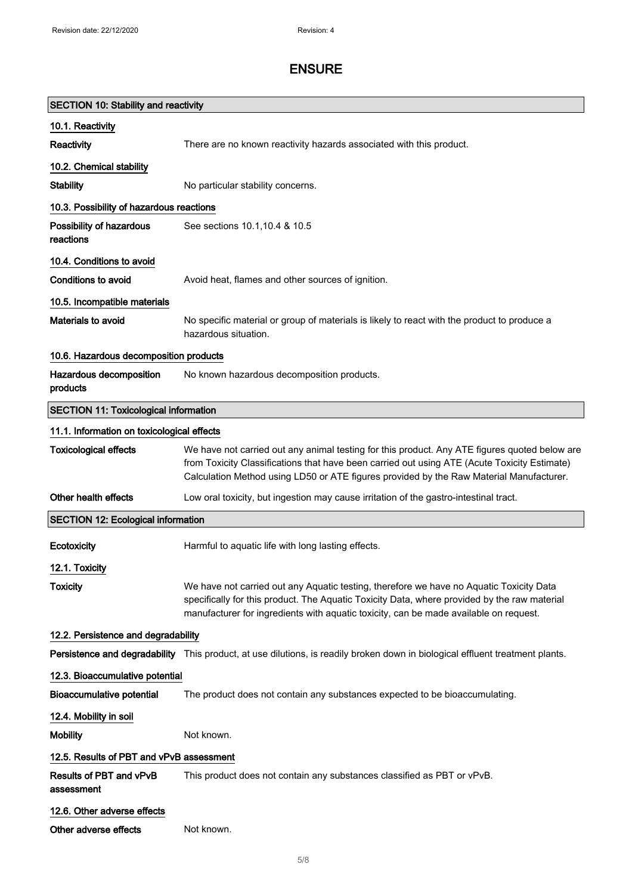| <b>SECTION 10: Stability and reactivity</b>  |                                                                                                                                                                                                                                                                                          |  |  |
|----------------------------------------------|------------------------------------------------------------------------------------------------------------------------------------------------------------------------------------------------------------------------------------------------------------------------------------------|--|--|
| 10.1. Reactivity                             |                                                                                                                                                                                                                                                                                          |  |  |
| Reactivity                                   | There are no known reactivity hazards associated with this product.                                                                                                                                                                                                                      |  |  |
| 10.2. Chemical stability                     |                                                                                                                                                                                                                                                                                          |  |  |
| <b>Stability</b>                             | No particular stability concerns.                                                                                                                                                                                                                                                        |  |  |
| 10.3. Possibility of hazardous reactions     |                                                                                                                                                                                                                                                                                          |  |  |
| Possibility of hazardous<br>reactions        | See sections 10.1, 10.4 & 10.5                                                                                                                                                                                                                                                           |  |  |
| 10.4. Conditions to avoid                    |                                                                                                                                                                                                                                                                                          |  |  |
| Conditions to avoid                          | Avoid heat, flames and other sources of ignition.                                                                                                                                                                                                                                        |  |  |
| 10.5. Incompatible materials                 |                                                                                                                                                                                                                                                                                          |  |  |
| Materials to avoid                           | No specific material or group of materials is likely to react with the product to produce a<br>hazardous situation.                                                                                                                                                                      |  |  |
| 10.6. Hazardous decomposition products       |                                                                                                                                                                                                                                                                                          |  |  |
| Hazardous decomposition<br>products          | No known hazardous decomposition products.                                                                                                                                                                                                                                               |  |  |
| <b>SECTION 11: Toxicological information</b> |                                                                                                                                                                                                                                                                                          |  |  |
|                                              | 11.1. Information on toxicological effects                                                                                                                                                                                                                                               |  |  |
| <b>Toxicological effects</b>                 | We have not carried out any animal testing for this product. Any ATE figures quoted below are<br>from Toxicity Classifications that have been carried out using ATE (Acute Toxicity Estimate)<br>Calculation Method using LD50 or ATE figures provided by the Raw Material Manufacturer. |  |  |
| Other health effects                         | Low oral toxicity, but ingestion may cause irritation of the gastro-intestinal tract.                                                                                                                                                                                                    |  |  |
| <b>SECTION 12: Ecological information</b>    |                                                                                                                                                                                                                                                                                          |  |  |
| Ecotoxicity                                  | Harmful to aquatic life with long lasting effects.                                                                                                                                                                                                                                       |  |  |
| 12.1. Toxicity                               |                                                                                                                                                                                                                                                                                          |  |  |
| <b>Toxicity</b>                              | We have not carried out any Aquatic testing, therefore we have no Aquatic Toxicity Data<br>specifically for this product. The Aquatic Toxicity Data, where provided by the raw material<br>manufacturer for ingredients with aquatic toxicity, can be made available on request.         |  |  |
| 12.2. Persistence and degradability          |                                                                                                                                                                                                                                                                                          |  |  |
|                                              | Persistence and degradability This product, at use dilutions, is readily broken down in biological effluent treatment plants.                                                                                                                                                            |  |  |
| 12.3. Bioaccumulative potential              |                                                                                                                                                                                                                                                                                          |  |  |
| <b>Bioaccumulative potential</b>             | The product does not contain any substances expected to be bioaccumulating.                                                                                                                                                                                                              |  |  |
| 12.4. Mobility in soil                       |                                                                                                                                                                                                                                                                                          |  |  |
| <b>Mobility</b>                              | Not known.                                                                                                                                                                                                                                                                               |  |  |
| 12.5. Results of PBT and vPvB assessment     |                                                                                                                                                                                                                                                                                          |  |  |
| Results of PBT and vPvB<br>assessment        | This product does not contain any substances classified as PBT or vPvB.                                                                                                                                                                                                                  |  |  |
| 12.6. Other adverse effects                  |                                                                                                                                                                                                                                                                                          |  |  |
| Other adverse effects                        | Not known.                                                                                                                                                                                                                                                                               |  |  |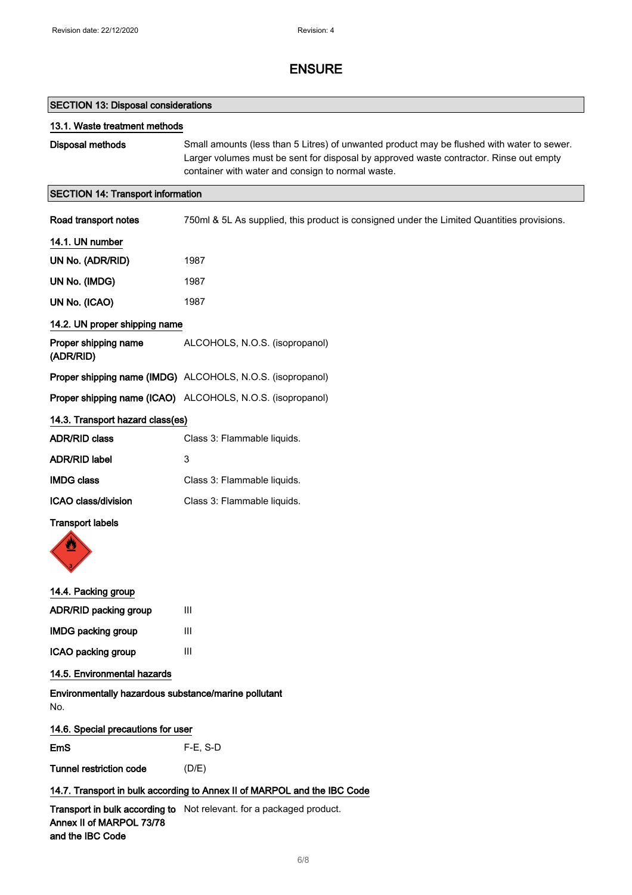| <b>SECTION 13: Disposal considerations</b>                  |                                                                                                                                                                                                                                           |  |
|-------------------------------------------------------------|-------------------------------------------------------------------------------------------------------------------------------------------------------------------------------------------------------------------------------------------|--|
| 13.1. Waste treatment methods                               |                                                                                                                                                                                                                                           |  |
| Disposal methods                                            | Small amounts (less than 5 Litres) of unwanted product may be flushed with water to sewer.<br>Larger volumes must be sent for disposal by approved waste contractor. Rinse out empty<br>container with water and consign to normal waste. |  |
| <b>SECTION 14: Transport information</b>                    |                                                                                                                                                                                                                                           |  |
| Road transport notes                                        | 750ml & 5L As supplied, this product is consigned under the Limited Quantities provisions.                                                                                                                                                |  |
| 14.1. UN number                                             |                                                                                                                                                                                                                                           |  |
| UN No. (ADR/RID)                                            | 1987                                                                                                                                                                                                                                      |  |
| UN No. (IMDG)                                               | 1987                                                                                                                                                                                                                                      |  |
| UN No. (ICAO)                                               | 1987                                                                                                                                                                                                                                      |  |
| 14.2. UN proper shipping name                               |                                                                                                                                                                                                                                           |  |
| Proper shipping name<br>(ADR/RID)                           | ALCOHOLS, N.O.S. (isopropanol)                                                                                                                                                                                                            |  |
|                                                             | Proper shipping name (IMDG) ALCOHOLS, N.O.S. (isopropanol)                                                                                                                                                                                |  |
|                                                             | Proper shipping name (ICAO) ALCOHOLS, N.O.S. (isopropanol)                                                                                                                                                                                |  |
| 14.3. Transport hazard class(es)                            |                                                                                                                                                                                                                                           |  |
| <b>ADR/RID class</b>                                        | Class 3: Flammable liquids.                                                                                                                                                                                                               |  |
| <b>ADR/RID label</b>                                        | 3                                                                                                                                                                                                                                         |  |
| <b>IMDG class</b>                                           | Class 3: Flammable liquids.                                                                                                                                                                                                               |  |
| ICAO class/division                                         | Class 3: Flammable liquids.                                                                                                                                                                                                               |  |
| <b>Transport labels</b><br>⋓                                |                                                                                                                                                                                                                                           |  |
| 14.4. Packing group                                         |                                                                                                                                                                                                                                           |  |
| ADR/RID packing group                                       | Ш                                                                                                                                                                                                                                         |  |
| <b>IMDG packing group</b>                                   | III                                                                                                                                                                                                                                       |  |
| ICAO packing group                                          | III                                                                                                                                                                                                                                       |  |
| 14.5. Environmental hazards                                 |                                                                                                                                                                                                                                           |  |
| Environmentally hazardous substance/marine pollutant<br>No. |                                                                                                                                                                                                                                           |  |
| 14.6. Special precautions for user                          |                                                                                                                                                                                                                                           |  |
| <b>EmS</b>                                                  | F-E, S-D                                                                                                                                                                                                                                  |  |
| <b>Tunnel restriction code</b>                              | (D/E)                                                                                                                                                                                                                                     |  |
|                                                             | 14.7. Transport in bulk according to Annex II of MARPOL and the IBC Code                                                                                                                                                                  |  |
| Annex II of MARPOL 73/78<br>and the IBC Code                | Transport in bulk according to Not relevant. for a packaged product.                                                                                                                                                                      |  |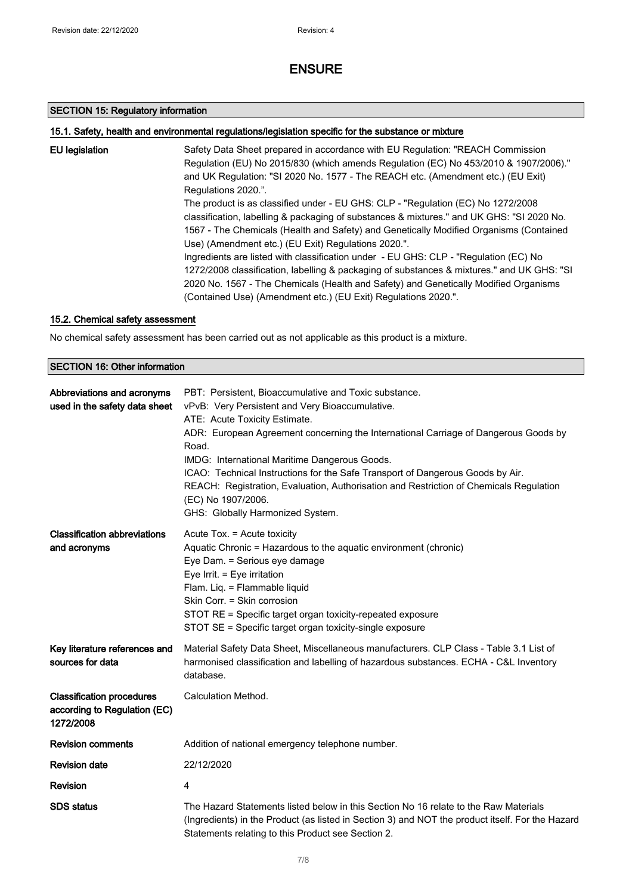### SECTION 15: Regulatory information

### 15.1. Safety, health and environmental regulations/legislation specific for the substance or mixture

| EU legislation | Safety Data Sheet prepared in accordance with EU Regulation: "REACH Commission<br>Regulation (EU) No 2015/830 (which amends Regulation (EC) No 453/2010 & 1907/2006)."<br>and UK Regulation: "SI 2020 No. 1577 - The REACH etc. (Amendment etc.) (EU Exit)<br>Regulations 2020.".                                                            |
|----------------|----------------------------------------------------------------------------------------------------------------------------------------------------------------------------------------------------------------------------------------------------------------------------------------------------------------------------------------------|
|                | The product is as classified under - EU GHS: CLP - "Regulation (EC) No 1272/2008<br>classification, labelling & packaging of substances & mixtures." and UK GHS: "SI 2020 No.<br>1567 - The Chemicals (Health and Safety) and Genetically Modified Organisms (Contained<br>Use) (Amendment etc.) (EU Exit) Regulations 2020.".               |
|                | Ingredients are listed with classification under - EU GHS: CLP - "Regulation (EC) No<br>1272/2008 classification, labelling & packaging of substances & mixtures." and UK GHS: "SI<br>2020 No. 1567 - The Chemicals (Health and Safety) and Genetically Modified Organisms<br>(Contained Use) (Amendment etc.) (EU Exit) Regulations 2020.". |

### 15.2. Chemical safety assessment

No chemical safety assessment has been carried out as not applicable as this product is a mixture.

### SECTION 16: Other information

| Abbreviations and acronyms<br>used in the safety data sheet                   | PBT: Persistent, Bioaccumulative and Toxic substance.<br>vPvB: Very Persistent and Very Bioaccumulative.<br>ATE: Acute Toxicity Estimate.<br>ADR: European Agreement concerning the International Carriage of Dangerous Goods by<br>Road.<br>IMDG: International Maritime Dangerous Goods.<br>ICAO: Technical Instructions for the Safe Transport of Dangerous Goods by Air.<br>REACH: Registration, Evaluation, Authorisation and Restriction of Chemicals Regulation<br>(EC) No 1907/2006.<br>GHS: Globally Harmonized System. |
|-------------------------------------------------------------------------------|----------------------------------------------------------------------------------------------------------------------------------------------------------------------------------------------------------------------------------------------------------------------------------------------------------------------------------------------------------------------------------------------------------------------------------------------------------------------------------------------------------------------------------|
| <b>Classification abbreviations</b><br>and acronyms                           | Acute Tox. = Acute toxicity<br>Aquatic Chronic = Hazardous to the aquatic environment (chronic)<br>Eye Dam. = Serious eye damage<br>Eye Irrit. = Eye irritation<br>Flam. Liq. = Flammable liquid<br>Skin Corr. = Skin corrosion<br>STOT RE = Specific target organ toxicity-repeated exposure<br>STOT SE = Specific target organ toxicity-single exposure                                                                                                                                                                        |
| Key literature references and<br>sources for data                             | Material Safety Data Sheet, Miscellaneous manufacturers. CLP Class - Table 3.1 List of<br>harmonised classification and labelling of hazardous substances. ECHA - C&L Inventory<br>database.                                                                                                                                                                                                                                                                                                                                     |
| <b>Classification procedures</b><br>according to Regulation (EC)<br>1272/2008 | Calculation Method.                                                                                                                                                                                                                                                                                                                                                                                                                                                                                                              |
| <b>Revision comments</b>                                                      | Addition of national emergency telephone number.                                                                                                                                                                                                                                                                                                                                                                                                                                                                                 |
| <b>Revision date</b>                                                          | 22/12/2020                                                                                                                                                                                                                                                                                                                                                                                                                                                                                                                       |
| Revision                                                                      | 4                                                                                                                                                                                                                                                                                                                                                                                                                                                                                                                                |
| <b>SDS</b> status                                                             | The Hazard Statements listed below in this Section No 16 relate to the Raw Materials<br>(Ingredients) in the Product (as listed in Section 3) and NOT the product itself. For the Hazard<br>Statements relating to this Product see Section 2.                                                                                                                                                                                                                                                                                   |